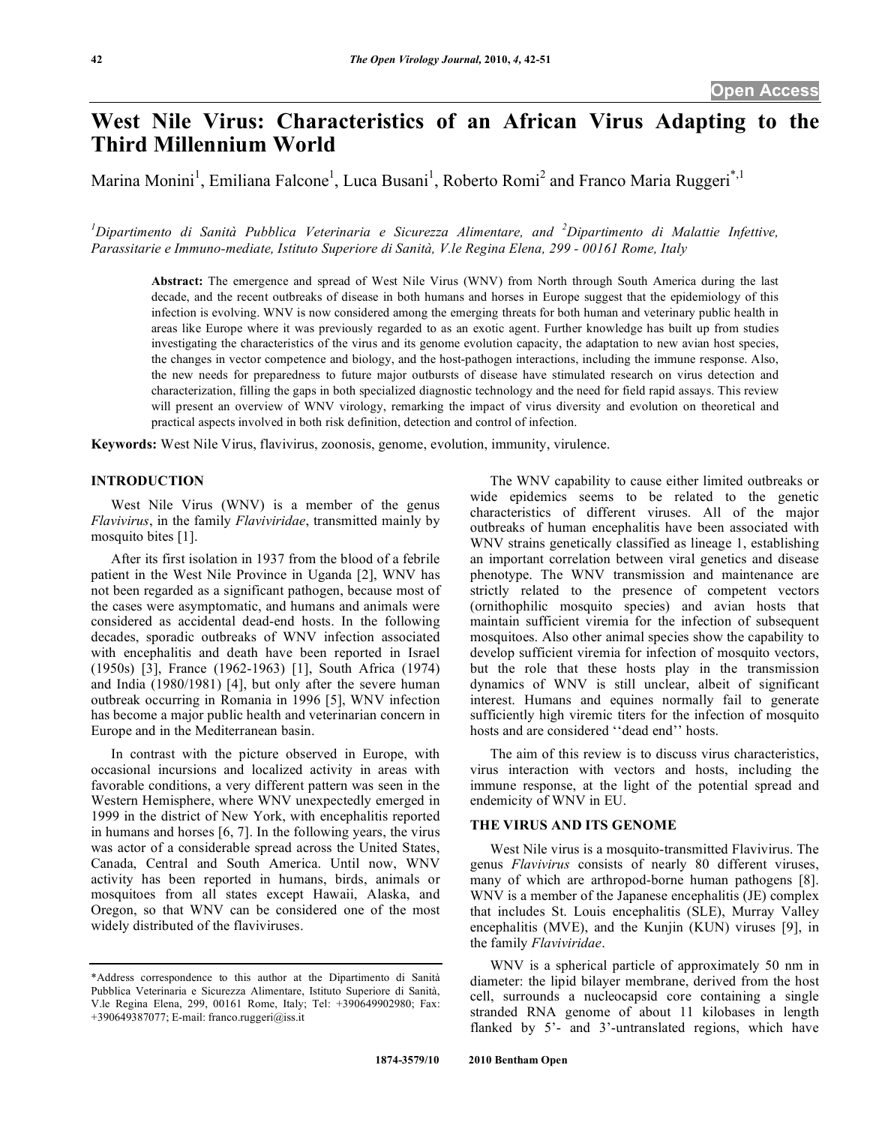# **West Nile Virus: Characteristics of an African Virus Adapting to the Third Millennium World**

Marina Monini<sup>1</sup>, Emiliana Falcone<sup>1</sup>, Luca Busani<sup>1</sup>, Roberto Romi<sup>2</sup> and Franco Maria Ruggeri<sup>\*,1</sup>

<sup>1</sup>Dipartimento di Sanità Pubblica Veterinaria e Sicurezza Alimentare, and <sup>2</sup>Dipartimento di Malattie Infettive, *Parassitarie e Immuno-mediate, Istituto Superiore di Sanità, V.le Regina Elena, 299 - 00161 Rome, Italy* 

**Abstract:** The emergence and spread of West Nile Virus (WNV) from North through South America during the last decade, and the recent outbreaks of disease in both humans and horses in Europe suggest that the epidemiology of this infection is evolving. WNV is now considered among the emerging threats for both human and veterinary public health in areas like Europe where it was previously regarded to as an exotic agent. Further knowledge has built up from studies investigating the characteristics of the virus and its genome evolution capacity, the adaptation to new avian host species, the changes in vector competence and biology, and the host-pathogen interactions, including the immune response. Also, the new needs for preparedness to future major outbursts of disease have stimulated research on virus detection and characterization, filling the gaps in both specialized diagnostic technology and the need for field rapid assays. This review will present an overview of WNV virology, remarking the impact of virus diversity and evolution on theoretical and practical aspects involved in both risk definition, detection and control of infection.

**Keywords:** West Nile Virus, flavivirus, zoonosis, genome, evolution, immunity, virulence.

# **INTRODUCTION**

 West Nile Virus (WNV) is a member of the genus *Flavivirus*, in the family *Flaviviridae*, transmitted mainly by mosquito bites [1].

 After its first isolation in 1937 from the blood of a febrile patient in the West Nile Province in Uganda [2], WNV has not been regarded as a significant pathogen, because most of the cases were asymptomatic, and humans and animals were considered as accidental dead-end hosts. In the following decades, sporadic outbreaks of WNV infection associated with encephalitis and death have been reported in Israel (1950s) [3], France (1962-1963) [1], South Africa (1974) and India (1980/1981) [4], but only after the severe human outbreak occurring in Romania in 1996 [5], WNV infection has become a major public health and veterinarian concern in Europe and in the Mediterranean basin.

 In contrast with the picture observed in Europe, with occasional incursions and localized activity in areas with favorable conditions, a very different pattern was seen in the Western Hemisphere, where WNV unexpectedly emerged in 1999 in the district of New York, with encephalitis reported in humans and horses [6, 7]. In the following years, the virus was actor of a considerable spread across the United States, Canada, Central and South America. Until now, WNV activity has been reported in humans, birds, animals or mosquitoes from all states except Hawaii, Alaska, and Oregon, so that WNV can be considered one of the most widely distributed of the flaviviruses.

 The WNV capability to cause either limited outbreaks or wide epidemics seems to be related to the genetic characteristics of different viruses. All of the major outbreaks of human encephalitis have been associated with WNV strains genetically classified as lineage 1, establishing an important correlation between viral genetics and disease phenotype. The WNV transmission and maintenance are strictly related to the presence of competent vectors (ornithophilic mosquito species) and avian hosts that maintain sufficient viremia for the infection of subsequent mosquitoes. Also other animal species show the capability to develop sufficient viremia for infection of mosquito vectors, but the role that these hosts play in the transmission dynamics of WNV is still unclear, albeit of significant interest. Humans and equines normally fail to generate sufficiently high viremic titers for the infection of mosquito hosts and are considered ''dead end'' hosts.

 The aim of this review is to discuss virus characteristics, virus interaction with vectors and hosts, including the immune response, at the light of the potential spread and endemicity of WNV in EU.

# **THE VIRUS AND ITS GENOME**

 West Nile virus is a mosquito-transmitted Flavivirus. The genus *Flavivirus* consists of nearly 80 different viruses, many of which are arthropod-borne human pathogens [8]. WNV is a member of the Japanese encephalitis (JE) complex that includes St. Louis encephalitis (SLE), Murray Valley encephalitis (MVE), and the Kunjin (KUN) viruses [9], in the family *Flaviviridae*.

 WNV is a spherical particle of approximately 50 nm in diameter: the lipid bilayer membrane, derived from the host cell, surrounds a nucleocapsid core containing a single stranded RNA genome of about 11 kilobases in length flanked by 5'- and 3'-untranslated regions, which have

<sup>\*</sup>Address correspondence to this author at the Dipartimento di Sanità Pubblica Veterinaria e Sicurezza Alimentare, Istituto Superiore di Sanità, V.le Regina Elena, 299, 00161 Rome, Italy; Tel: +390649902980; Fax: +390649387077; E-mail: franco.ruggeri@iss.it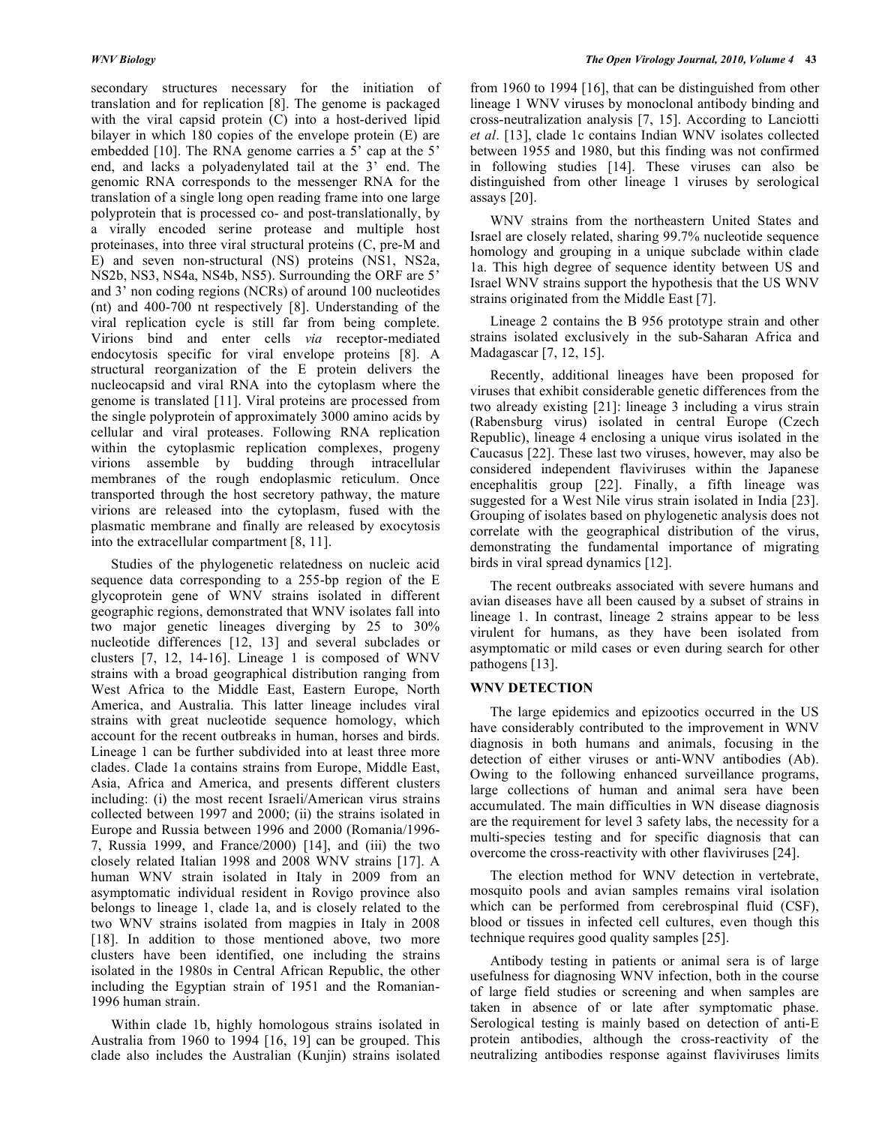secondary structures necessary for the initiation of translation and for replication [8]. The genome is packaged with the viral capsid protein (C) into a host-derived lipid bilayer in which 180 copies of the envelope protein (E) are embedded [10]. The RNA genome carries a 5' cap at the 5' end, and lacks a polyadenylated tail at the 3' end. The genomic RNA corresponds to the messenger RNA for the translation of a single long open reading frame into one large polyprotein that is processed co- and post-translationally, by a virally encoded serine protease and multiple host proteinases, into three viral structural proteins (C, pre-M and E) and seven non-structural (NS) proteins (NS1, NS2a, NS2b, NS3, NS4a, NS4b, NS5). Surrounding the ORF are 5' and 3' non coding regions (NCRs) of around 100 nucleotides (nt) and 400-700 nt respectively [8]. Understanding of the viral replication cycle is still far from being complete. Virions bind and enter cells *via* receptor-mediated endocytosis specific for viral envelope proteins [8]. A structural reorganization of the E protein delivers the nucleocapsid and viral RNA into the cytoplasm where the genome is translated [11]. Viral proteins are processed from the single polyprotein of approximately 3000 amino acids by cellular and viral proteases. Following RNA replication within the cytoplasmic replication complexes, progeny virions assemble by budding through intracellular membranes of the rough endoplasmic reticulum. Once transported through the host secretory pathway, the mature virions are released into the cytoplasm, fused with the plasmatic membrane and finally are released by exocytosis into the extracellular compartment [8, 11].

 Studies of the phylogenetic relatedness on nucleic acid sequence data corresponding to a 255-bp region of the E glycoprotein gene of WNV strains isolated in different geographic regions, demonstrated that WNV isolates fall into two major genetic lineages diverging by 25 to 30% nucleotide differences [12, 13] and several subclades or clusters [7, 12, 14-16]. Lineage 1 is composed of WNV strains with a broad geographical distribution ranging from West Africa to the Middle East, Eastern Europe, North America, and Australia. This latter lineage includes viral strains with great nucleotide sequence homology, which account for the recent outbreaks in human, horses and birds. Lineage 1 can be further subdivided into at least three more clades. Clade 1a contains strains from Europe, Middle East, Asia, Africa and America, and presents different clusters including: (i) the most recent Israeli/American virus strains collected between 1997 and 2000; (ii) the strains isolated in Europe and Russia between 1996 and 2000 (Romania/1996- 7, Russia 1999, and France/2000) [14], and (iii) the two closely related Italian 1998 and 2008 WNV strains [17]. A human WNV strain isolated in Italy in 2009 from an asymptomatic individual resident in Rovigo province also belongs to lineage 1, clade 1a, and is closely related to the two WNV strains isolated from magpies in Italy in 2008 [18]. In addition to those mentioned above, two more clusters have been identified, one including the strains isolated in the 1980s in Central African Republic, the other including the Egyptian strain of 1951 and the Romanian-1996 human strain.

 Within clade 1b, highly homologous strains isolated in Australia from 1960 to 1994 [16, 19] can be grouped. This clade also includes the Australian (Kunjin) strains isolated

from 1960 to 1994 [16], that can be distinguished from other lineage 1 WNV viruses by monoclonal antibody binding and cross-neutralization analysis [7, 15]. According to Lanciotti *et al*. [13], clade 1c contains Indian WNV isolates collected between 1955 and 1980, but this finding was not confirmed in following studies [14]. These viruses can also be distinguished from other lineage 1 viruses by serological assays [20].

 WNV strains from the northeastern United States and Israel are closely related, sharing 99.7% nucleotide sequence homology and grouping in a unique subclade within clade 1a. This high degree of sequence identity between US and Israel WNV strains support the hypothesis that the US WNV strains originated from the Middle East [7].

 Lineage 2 contains the B 956 prototype strain and other strains isolated exclusively in the sub-Saharan Africa and Madagascar [7, 12, 15].

 Recently, additional lineages have been proposed for viruses that exhibit considerable genetic differences from the two already existing [21]: lineage 3 including a virus strain (Rabensburg virus) isolated in central Europe (Czech Republic), lineage 4 enclosing a unique virus isolated in the Caucasus [22]. These last two viruses, however, may also be considered independent flaviviruses within the Japanese encephalitis group [22]. Finally, a fifth lineage was suggested for a West Nile virus strain isolated in India [23]. Grouping of isolates based on phylogenetic analysis does not correlate with the geographical distribution of the virus, demonstrating the fundamental importance of migrating birds in viral spread dynamics [12].

 The recent outbreaks associated with severe humans and avian diseases have all been caused by a subset of strains in lineage 1. In contrast, lineage 2 strains appear to be less virulent for humans, as they have been isolated from asymptomatic or mild cases or even during search for other pathogens [13].

# **WNV DETECTION**

 The large epidemics and epizootics occurred in the US have considerably contributed to the improvement in WNV diagnosis in both humans and animals, focusing in the detection of either viruses or anti-WNV antibodies (Ab). Owing to the following enhanced surveillance programs, large collections of human and animal sera have been accumulated. The main difficulties in WN disease diagnosis are the requirement for level 3 safety labs, the necessity for a multi-species testing and for specific diagnosis that can overcome the cross-reactivity with other flaviviruses [24].

 The election method for WNV detection in vertebrate, mosquito pools and avian samples remains viral isolation which can be performed from cerebrospinal fluid (CSF), blood or tissues in infected cell cultures, even though this technique requires good quality samples [25].

 Antibody testing in patients or animal sera is of large usefulness for diagnosing WNV infection, both in the course of large field studies or screening and when samples are taken in absence of or late after symptomatic phase. Serological testing is mainly based on detection of anti-E protein antibodies, although the cross-reactivity of the neutralizing antibodies response against flaviviruses limits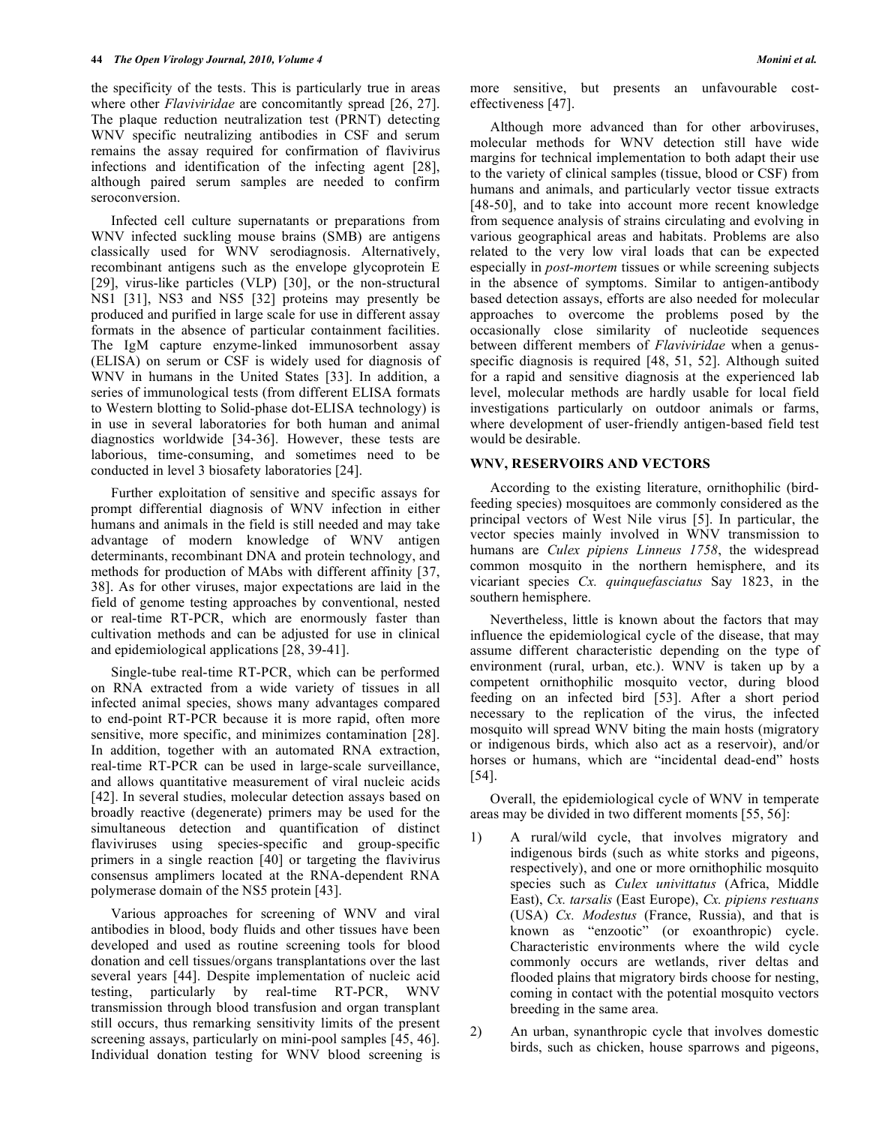the specificity of the tests. This is particularly true in areas where other *Flaviviridae* are concomitantly spread [26, 27]. The plaque reduction neutralization test (PRNT) detecting WNV specific neutralizing antibodies in CSF and serum remains the assay required for confirmation of flavivirus infections and identification of the infecting agent [28], although paired serum samples are needed to confirm seroconversion.

 Infected cell culture supernatants or preparations from WNV infected suckling mouse brains (SMB) are antigens classically used for WNV serodiagnosis. Alternatively, recombinant antigens such as the envelope glycoprotein E [29], virus-like particles (VLP) [30], or the non-structural NS1 [31], NS3 and NS5 [32] proteins may presently be produced and purified in large scale for use in different assay formats in the absence of particular containment facilities. The IgM capture enzyme-linked immunosorbent assay (ELISA) on serum or CSF is widely used for diagnosis of WNV in humans in the United States [33]. In addition, a series of immunological tests (from different ELISA formats to Western blotting to Solid-phase dot-ELISA technology) is in use in several laboratories for both human and animal diagnostics worldwide [34-36]. However, these tests are laborious, time-consuming, and sometimes need to be conducted in level 3 biosafety laboratories [24].

 Further exploitation of sensitive and specific assays for prompt differential diagnosis of WNV infection in either humans and animals in the field is still needed and may take advantage of modern knowledge of WNV antigen determinants, recombinant DNA and protein technology, and methods for production of MAbs with different affinity [37, 38]. As for other viruses, major expectations are laid in the field of genome testing approaches by conventional, nested or real-time RT-PCR, which are enormously faster than cultivation methods and can be adjusted for use in clinical and epidemiological applications [28, 39-41].

 Single-tube real-time RT-PCR, which can be performed on RNA extracted from a wide variety of tissues in all infected animal species, shows many advantages compared to end-point RT-PCR because it is more rapid, often more sensitive, more specific, and minimizes contamination [28]. In addition, together with an automated RNA extraction, real-time RT-PCR can be used in large-scale surveillance, and allows quantitative measurement of viral nucleic acids [42]. In several studies, molecular detection assays based on broadly reactive (degenerate) primers may be used for the simultaneous detection and quantification of distinct flaviviruses using species-specific and group-specific primers in a single reaction [40] or targeting the flavivirus consensus amplimers located at the RNA-dependent RNA polymerase domain of the NS5 protein [43].

 Various approaches for screening of WNV and viral antibodies in blood, body fluids and other tissues have been developed and used as routine screening tools for blood donation and cell tissues/organs transplantations over the last several years [44]. Despite implementation of nucleic acid testing, particularly by real-time RT-PCR, WNV transmission through blood transfusion and organ transplant still occurs, thus remarking sensitivity limits of the present screening assays, particularly on mini-pool samples [45, 46]. Individual donation testing for WNV blood screening is

more sensitive, but presents an unfavourable costeffectiveness [47].

 Although more advanced than for other arboviruses, molecular methods for WNV detection still have wide margins for technical implementation to both adapt their use to the variety of clinical samples (tissue, blood or CSF) from humans and animals, and particularly vector tissue extracts [48-50], and to take into account more recent knowledge from sequence analysis of strains circulating and evolving in various geographical areas and habitats. Problems are also related to the very low viral loads that can be expected especially in *post-mortem* tissues or while screening subjects in the absence of symptoms. Similar to antigen-antibody based detection assays, efforts are also needed for molecular approaches to overcome the problems posed by the occasionally close similarity of nucleotide sequences between different members of *Flaviviridae* when a genusspecific diagnosis is required [48, 51, 52]. Although suited for a rapid and sensitive diagnosis at the experienced lab level, molecular methods are hardly usable for local field investigations particularly on outdoor animals or farms, where development of user-friendly antigen-based field test would be desirable.

## **WNV, RESERVOIRS AND VECTORS**

 According to the existing literature, ornithophilic (birdfeeding species) mosquitoes are commonly considered as the principal vectors of West Nile virus [5]. In particular, the vector species mainly involved in WNV transmission to humans are *Culex pipiens Linneus 1758*, the widespread common mosquito in the northern hemisphere, and its vicariant species *Cx. quinquefasciatus* Say 1823, in the southern hemisphere.

 Nevertheless, little is known about the factors that may influence the epidemiological cycle of the disease, that may assume different characteristic depending on the type of environment (rural, urban, etc.). WNV is taken up by a competent ornithophilic mosquito vector, during blood feeding on an infected bird [53]. After a short period necessary to the replication of the virus, the infected mosquito will spread WNV biting the main hosts (migratory or indigenous birds, which also act as a reservoir), and/or horses or humans, which are "incidental dead-end" hosts [54].

 Overall, the epidemiological cycle of WNV in temperate areas may be divided in two different moments [55, 56]:

- 1) A rural/wild cycle, that involves migratory and indigenous birds (such as white storks and pigeons, respectively), and one or more ornithophilic mosquito species such as *Culex univittatus* (Africa, Middle East), *Cx. tarsalis* (East Europe), *Cx. pipiens restuans* (USA) *Cx. Modestus* (France, Russia), and that is known as "enzootic" (or exoanthropic) cycle. Characteristic environments where the wild cycle commonly occurs are wetlands, river deltas and flooded plains that migratory birds choose for nesting, coming in contact with the potential mosquito vectors breeding in the same area.
- 2) An urban, synanthropic cycle that involves domestic birds, such as chicken, house sparrows and pigeons,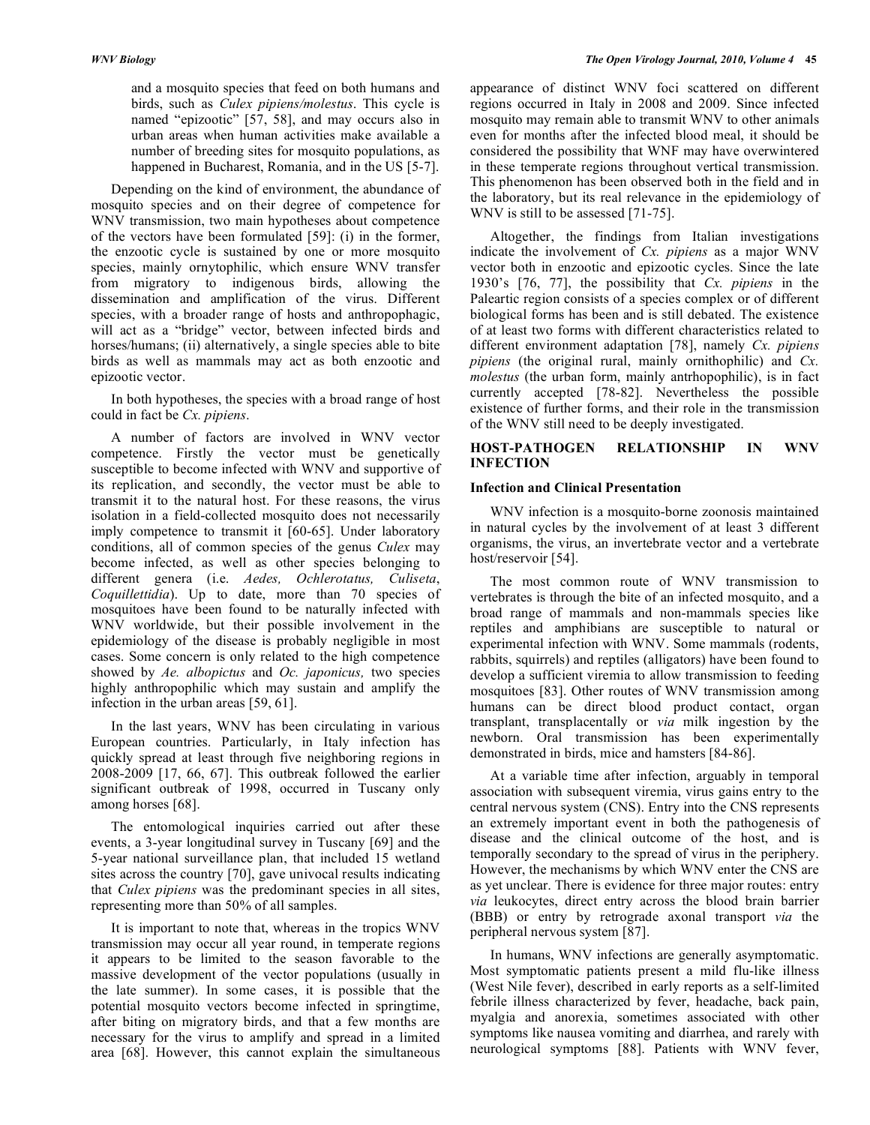and a mosquito species that feed on both humans and birds, such as *Culex pipiens/molestus*. This cycle is named "epizootic" [57, 58], and may occurs also in urban areas when human activities make available a number of breeding sites for mosquito populations, as happened in Bucharest, Romania, and in the US [5-7].

 Depending on the kind of environment, the abundance of mosquito species and on their degree of competence for WNV transmission, two main hypotheses about competence of the vectors have been formulated [59]: (i) in the former, the enzootic cycle is sustained by one or more mosquito species, mainly ornytophilic, which ensure WNV transfer from migratory to indigenous birds, allowing the dissemination and amplification of the virus. Different species, with a broader range of hosts and anthropophagic, will act as a "bridge" vector, between infected birds and horses/humans; (ii) alternatively, a single species able to bite birds as well as mammals may act as both enzootic and epizootic vector.

 In both hypotheses, the species with a broad range of host could in fact be *Cx. pipiens*.

 A number of factors are involved in WNV vector competence. Firstly the vector must be genetically susceptible to become infected with WNV and supportive of its replication, and secondly, the vector must be able to transmit it to the natural host. For these reasons, the virus isolation in a field-collected mosquito does not necessarily imply competence to transmit it [60-65]. Under laboratory conditions, all of common species of the genus *Culex* may become infected, as well as other species belonging to different genera (i.e. *Aedes, Ochlerotatus, Culiseta*, *Coquillettidia*). Up to date, more than 70 species of mosquitoes have been found to be naturally infected with WNV worldwide, but their possible involvement in the epidemiology of the disease is probably negligible in most cases. Some concern is only related to the high competence showed by *Ae. albopictus* and *Oc. japonicus,* two species highly anthropophilic which may sustain and amplify the infection in the urban areas [59, 61].

 In the last years, WNV has been circulating in various European countries. Particularly, in Italy infection has quickly spread at least through five neighboring regions in 2008-2009 [17, 66, 67]. This outbreak followed the earlier significant outbreak of 1998, occurred in Tuscany only among horses [68].

 The entomological inquiries carried out after these events, a 3-year longitudinal survey in Tuscany [69] and the 5-year national surveillance plan, that included 15 wetland sites across the country [70], gave univocal results indicating that *Culex pipiens* was the predominant species in all sites, representing more than 50% of all samples.

 It is important to note that, whereas in the tropics WNV transmission may occur all year round, in temperate regions it appears to be limited to the season favorable to the massive development of the vector populations (usually in the late summer). In some cases, it is possible that the potential mosquito vectors become infected in springtime, after biting on migratory birds, and that a few months are necessary for the virus to amplify and spread in a limited area [68]. However, this cannot explain the simultaneous

appearance of distinct WNV foci scattered on different regions occurred in Italy in 2008 and 2009. Since infected mosquito may remain able to transmit WNV to other animals even for months after the infected blood meal, it should be considered the possibility that WNF may have overwintered in these temperate regions throughout vertical transmission. This phenomenon has been observed both in the field and in the laboratory, but its real relevance in the epidemiology of WNV is still to be assessed [71-75].

 Altogether, the findings from Italian investigations indicate the involvement of *Cx. pipiens* as a major WNV vector both in enzootic and epizootic cycles. Since the late 1930's [76, 77], the possibility that *Cx. pipiens* in the Paleartic region consists of a species complex or of different biological forms has been and is still debated. The existence of at least two forms with different characteristics related to different environment adaptation [78], namely *Cx. pipiens pipiens* (the original rural, mainly ornithophilic) and *Cx. molestus* (the urban form, mainly antrhopophilic), is in fact currently accepted [78-82]. Nevertheless the possible existence of further forms, and their role in the transmission of the WNV still need to be deeply investigated.

# **HOST-PATHOGEN RELATIONSHIP IN WNV INFECTION**

## **Infection and Clinical Presentation**

 WNV infection is a mosquito-borne zoonosis maintained in natural cycles by the involvement of at least 3 different organisms, the virus, an invertebrate vector and a vertebrate host/reservoir [54].

 The most common route of WNV transmission to vertebrates is through the bite of an infected mosquito, and a broad range of mammals and non-mammals species like reptiles and amphibians are susceptible to natural or experimental infection with WNV. Some mammals (rodents, rabbits, squirrels) and reptiles (alligators) have been found to develop a sufficient viremia to allow transmission to feeding mosquitoes [83]. Other routes of WNV transmission among humans can be direct blood product contact, organ transplant, transplacentally or *via* milk ingestion by the newborn. Oral transmission has been experimentally demonstrated in birds, mice and hamsters [84-86].

 At a variable time after infection, arguably in temporal association with subsequent viremia, virus gains entry to the central nervous system (CNS). Entry into the CNS represents an extremely important event in both the pathogenesis of disease and the clinical outcome of the host, and is temporally secondary to the spread of virus in the periphery. However, the mechanisms by which WNV enter the CNS are as yet unclear. There is evidence for three major routes: entry *via* leukocytes, direct entry across the blood brain barrier (BBB) or entry by retrograde axonal transport *via* the peripheral nervous system [87].

 In humans, WNV infections are generally asymptomatic. Most symptomatic patients present a mild flu-like illness (West Nile fever), described in early reports as a self-limited febrile illness characterized by fever, headache, back pain, myalgia and anorexia, sometimes associated with other symptoms like nausea vomiting and diarrhea, and rarely with neurological symptoms [88]. Patients with WNV fever,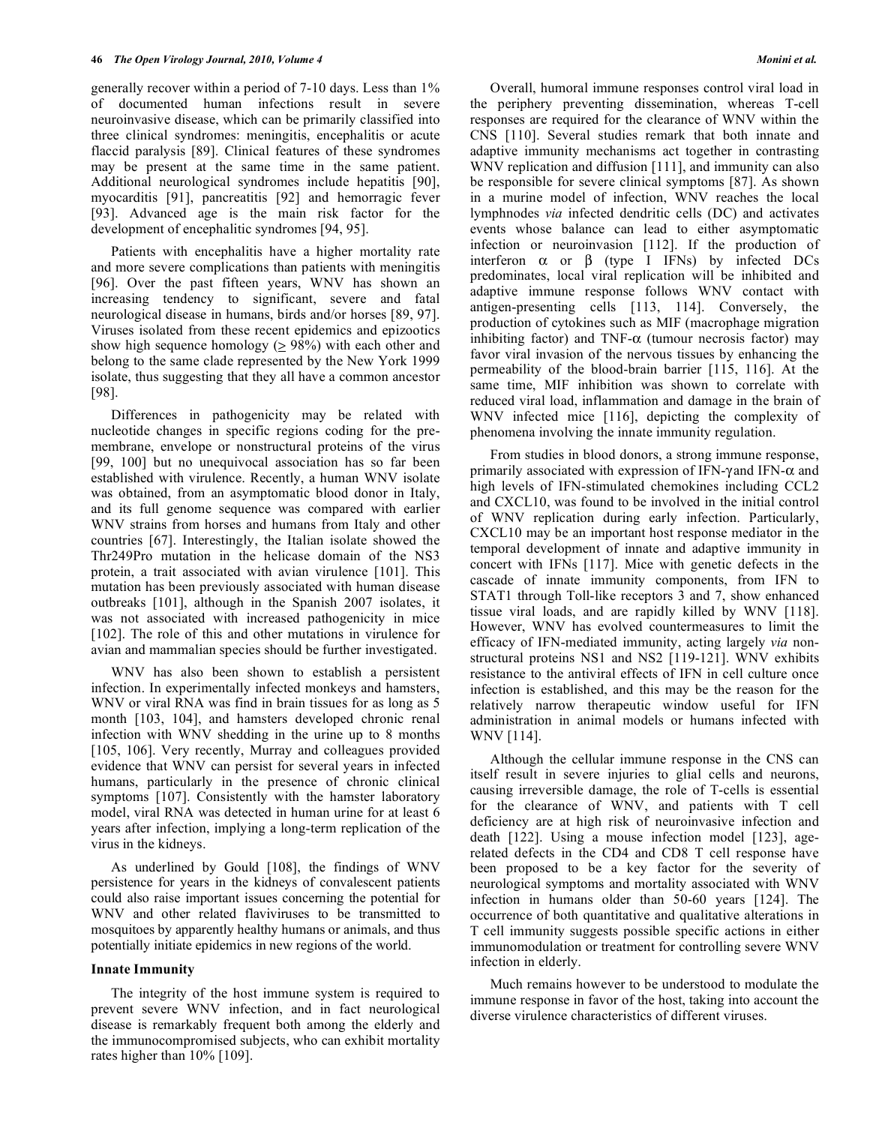generally recover within a period of 7-10 days. Less than 1% of documented human infections result in severe neuroinvasive disease, which can be primarily classified into three clinical syndromes: meningitis, encephalitis or acute flaccid paralysis [89]. Clinical features of these syndromes may be present at the same time in the same patient. Additional neurological syndromes include hepatitis [90], myocarditis [91], pancreatitis [92] and hemorragic fever [93]. Advanced age is the main risk factor for the development of encephalitic syndromes [94, 95].

 Patients with encephalitis have a higher mortality rate and more severe complications than patients with meningitis [96]. Over the past fifteen years, WNV has shown an increasing tendency to significant, severe and fatal neurological disease in humans, birds and/or horses [89, 97]. Viruses isolated from these recent epidemics and epizootics show high sequence homology ( $\geq$  98%) with each other and belong to the same clade represented by the New York 1999 isolate, thus suggesting that they all have a common ancestor [98].

 Differences in pathogenicity may be related with nucleotide changes in specific regions coding for the premembrane, envelope or nonstructural proteins of the virus [99, 100] but no unequivocal association has so far been established with virulence. Recently, a human WNV isolate was obtained, from an asymptomatic blood donor in Italy, and its full genome sequence was compared with earlier WNV strains from horses and humans from Italy and other countries [67]. Interestingly, the Italian isolate showed the Thr249Pro mutation in the helicase domain of the NS3 protein, a trait associated with avian virulence [101]. This mutation has been previously associated with human disease outbreaks [101], although in the Spanish 2007 isolates, it was not associated with increased pathogenicity in mice [102]. The role of this and other mutations in virulence for avian and mammalian species should be further investigated.

 WNV has also been shown to establish a persistent infection. In experimentally infected monkeys and hamsters, WNV or viral RNA was find in brain tissues for as long as 5 month [103, 104], and hamsters developed chronic renal infection with WNV shedding in the urine up to 8 months [105, 106]. Very recently, Murray and colleagues provided evidence that WNV can persist for several years in infected humans, particularly in the presence of chronic clinical symptoms [107]. Consistently with the hamster laboratory model, viral RNA was detected in human urine for at least 6 years after infection, implying a long-term replication of the virus in the kidneys.

 As underlined by Gould [108], the findings of WNV persistence for years in the kidneys of convalescent patients could also raise important issues concerning the potential for WNV and other related flaviviruses to be transmitted to mosquitoes by apparently healthy humans or animals, and thus potentially initiate epidemics in new regions of the world.

## **Innate Immunity**

 The integrity of the host immune system is required to prevent severe WNV infection, and in fact neurological disease is remarkably frequent both among the elderly and the immunocompromised subjects, who can exhibit mortality rates higher than 10% [109].

 Overall, humoral immune responses control viral load in the periphery preventing dissemination, whereas T-cell responses are required for the clearance of WNV within the CNS [110]. Several studies remark that both innate and adaptive immunity mechanisms act together in contrasting WNV replication and diffusion [111], and immunity can also be responsible for severe clinical symptoms [87]. As shown in a murine model of infection, WNV reaches the local lymphnodes *via* infected dendritic cells (DC) and activates events whose balance can lead to either asymptomatic infection or neuroinvasion [112]. If the production of interferon  $\alpha$  or  $\beta$  (type I IFNs) by infected DCs predominates, local viral replication will be inhibited and adaptive immune response follows WNV contact with antigen-presenting cells [113, 114]. Conversely, the production of cytokines such as MIF (macrophage migration inhibiting factor) and TNF- $\alpha$  (tumour necrosis factor) may favor viral invasion of the nervous tissues by enhancing the permeability of the blood-brain barrier [115, 116]. At the same time, MIF inhibition was shown to correlate with reduced viral load, inflammation and damage in the brain of WNV infected mice [116], depicting the complexity of phenomena involving the innate immunity regulation.

 From studies in blood donors, a strong immune response, primarily associated with expression of IFN- $\gamma$  and IFN- $\alpha$  and high levels of IFN-stimulated chemokines including CCL2 and CXCL10, was found to be involved in the initial control of WNV replication during early infection. Particularly, CXCL10 may be an important host response mediator in the temporal development of innate and adaptive immunity in concert with IFNs [117]. Mice with genetic defects in the cascade of innate immunity components, from IFN to STAT1 through Toll-like receptors 3 and 7, show enhanced tissue viral loads, and are rapidly killed by WNV [118]. However, WNV has evolved countermeasures to limit the efficacy of IFN-mediated immunity, acting largely *via* nonstructural proteins NS1 and NS2 [119-121]. WNV exhibits resistance to the antiviral effects of IFN in cell culture once infection is established, and this may be the reason for the relatively narrow therapeutic window useful for IFN administration in animal models or humans infected with WNV [114].

 Although the cellular immune response in the CNS can itself result in severe injuries to glial cells and neurons, causing irreversible damage, the role of T-cells is essential for the clearance of WNV, and patients with T cell deficiency are at high risk of neuroinvasive infection and death [122]. Using a mouse infection model [123], agerelated defects in the CD4 and CD8 T cell response have been proposed to be a key factor for the severity of neurological symptoms and mortality associated with WNV infection in humans older than 50-60 years [124]. The occurrence of both quantitative and qualitative alterations in T cell immunity suggests possible specific actions in either immunomodulation or treatment for controlling severe WNV infection in elderly.

 Much remains however to be understood to modulate the immune response in favor of the host, taking into account the diverse virulence characteristics of different viruses.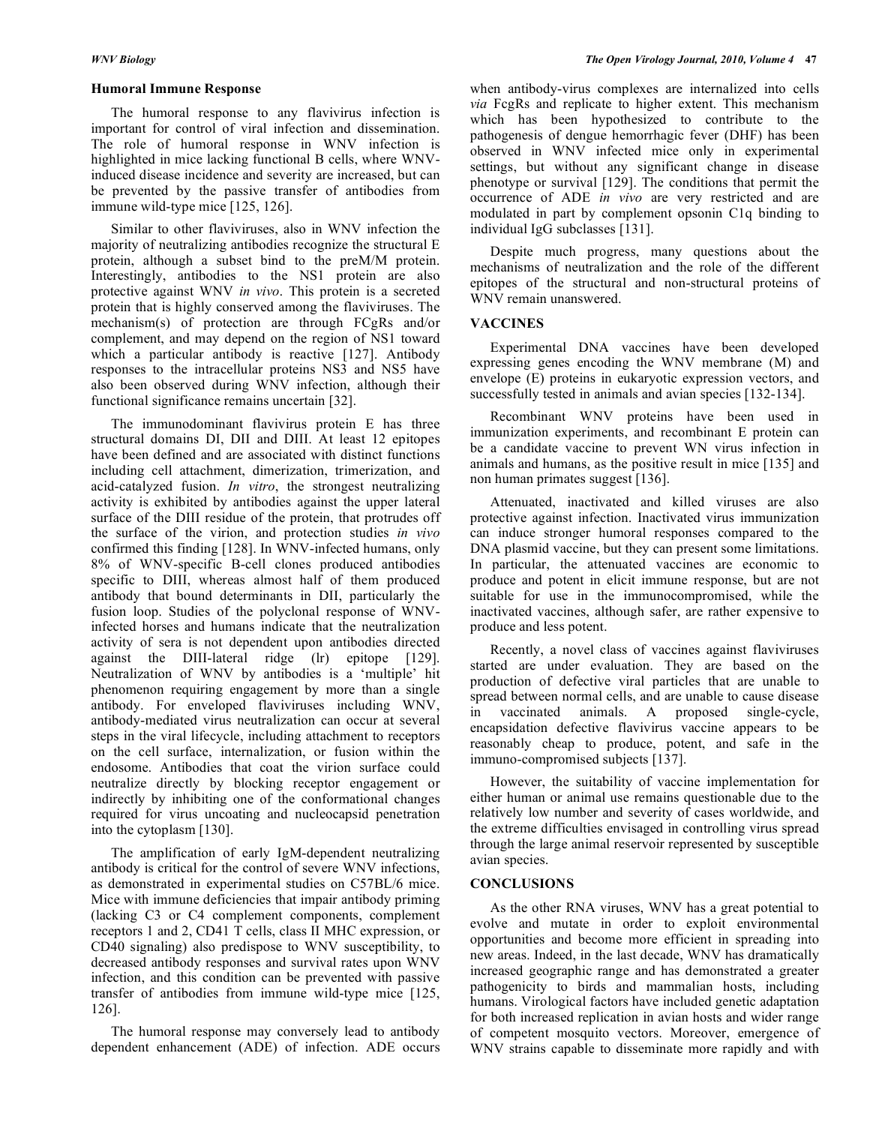#### **Humoral Immune Response**

 The humoral response to any flavivirus infection is important for control of viral infection and dissemination. The role of humoral response in WNV infection is highlighted in mice lacking functional B cells, where WNVinduced disease incidence and severity are increased, but can be prevented by the passive transfer of antibodies from immune wild-type mice [125, 126].

 Similar to other flaviviruses, also in WNV infection the majority of neutralizing antibodies recognize the structural E protein, although a subset bind to the preM/M protein. Interestingly, antibodies to the NS1 protein are also protective against WNV *in vivo*. This protein is a secreted protein that is highly conserved among the flaviviruses. The mechanism(s) of protection are through FCgRs and/or complement, and may depend on the region of NS1 toward which a particular antibody is reactive [127]. Antibody responses to the intracellular proteins NS3 and NS5 have also been observed during WNV infection, although their functional significance remains uncertain [32].

 The immunodominant flavivirus protein E has three structural domains DI, DII and DIII. At least 12 epitopes have been defined and are associated with distinct functions including cell attachment, dimerization, trimerization, and acid-catalyzed fusion. *In vitro*, the strongest neutralizing activity is exhibited by antibodies against the upper lateral surface of the DIII residue of the protein, that protrudes off the surface of the virion, and protection studies *in vivo* confirmed this finding [128]. In WNV-infected humans, only 8% of WNV-specific B-cell clones produced antibodies specific to DIII, whereas almost half of them produced antibody that bound determinants in DII, particularly the fusion loop. Studies of the polyclonal response of WNVinfected horses and humans indicate that the neutralization activity of sera is not dependent upon antibodies directed against the DIII-lateral ridge (lr) epitope [129]. Neutralization of WNV by antibodies is a 'multiple' hit phenomenon requiring engagement by more than a single antibody. For enveloped flaviviruses including WNV, antibody-mediated virus neutralization can occur at several steps in the viral lifecycle, including attachment to receptors on the cell surface, internalization, or fusion within the endosome. Antibodies that coat the virion surface could neutralize directly by blocking receptor engagement or indirectly by inhibiting one of the conformational changes required for virus uncoating and nucleocapsid penetration into the cytoplasm [130].

 The amplification of early IgM-dependent neutralizing antibody is critical for the control of severe WNV infections, as demonstrated in experimental studies on C57BL/6 mice. Mice with immune deficiencies that impair antibody priming (lacking C3 or C4 complement components, complement receptors 1 and 2, CD41 T cells, class II MHC expression, or CD40 signaling) also predispose to WNV susceptibility, to decreased antibody responses and survival rates upon WNV infection, and this condition can be prevented with passive transfer of antibodies from immune wild-type mice [125, 126].

 The humoral response may conversely lead to antibody dependent enhancement (ADE) of infection. ADE occurs when antibody-virus complexes are internalized into cells *via* FcgRs and replicate to higher extent. This mechanism which has been hypothesized to contribute to the pathogenesis of dengue hemorrhagic fever (DHF) has been observed in WNV infected mice only in experimental settings, but without any significant change in disease phenotype or survival [129]. The conditions that permit the occurrence of ADE *in vivo* are very restricted and are modulated in part by complement opsonin C1q binding to individual IgG subclasses [131].

 Despite much progress, many questions about the mechanisms of neutralization and the role of the different epitopes of the structural and non-structural proteins of WNV remain unanswered.

#### **VACCINES**

 Experimental DNA vaccines have been developed expressing genes encoding the WNV membrane (M) and envelope (E) proteins in eukaryotic expression vectors, and successfully tested in animals and avian species [132-134].

 Recombinant WNV proteins have been used in immunization experiments, and recombinant E protein can be a candidate vaccine to prevent WN virus infection in animals and humans, as the positive result in mice [135] and non human primates suggest [136].

 Attenuated, inactivated and killed viruses are also protective against infection. Inactivated virus immunization can induce stronger humoral responses compared to the DNA plasmid vaccine, but they can present some limitations. In particular, the attenuated vaccines are economic to produce and potent in elicit immune response, but are not suitable for use in the immunocompromised, while the inactivated vaccines, although safer, are rather expensive to produce and less potent.

 Recently, a novel class of vaccines against flaviviruses started are under evaluation. They are based on the production of defective viral particles that are unable to spread between normal cells, and are unable to cause disease in vaccinated animals. A proposed single-cycle, encapsidation defective flavivirus vaccine appears to be reasonably cheap to produce, potent, and safe in the immuno-compromised subjects [137].

 However, the suitability of vaccine implementation for either human or animal use remains questionable due to the relatively low number and severity of cases worldwide, and the extreme difficulties envisaged in controlling virus spread through the large animal reservoir represented by susceptible avian species.

#### **CONCLUSIONS**

 As the other RNA viruses, WNV has a great potential to evolve and mutate in order to exploit environmental opportunities and become more efficient in spreading into new areas. Indeed, in the last decade, WNV has dramatically increased geographic range and has demonstrated a greater pathogenicity to birds and mammalian hosts, including humans. Virological factors have included genetic adaptation for both increased replication in avian hosts and wider range of competent mosquito vectors. Moreover, emergence of WNV strains capable to disseminate more rapidly and with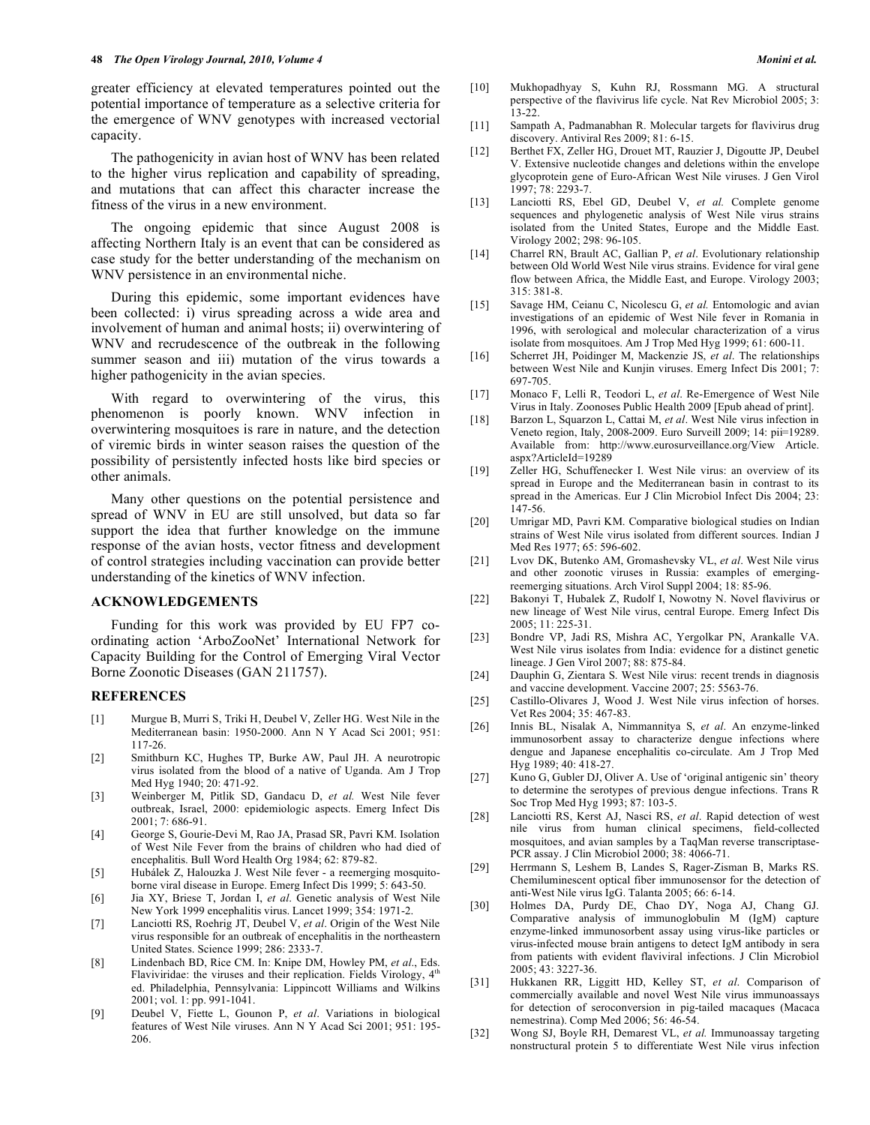greater efficiency at elevated temperatures pointed out the potential importance of temperature as a selective criteria for the emergence of WNV genotypes with increased vectorial capacity.

 The pathogenicity in avian host of WNV has been related to the higher virus replication and capability of spreading, and mutations that can affect this character increase the fitness of the virus in a new environment.

 The ongoing epidemic that since August 2008 is affecting Northern Italy is an event that can be considered as case study for the better understanding of the mechanism on WNV persistence in an environmental niche.

 During this epidemic, some important evidences have been collected: i) virus spreading across a wide area and involvement of human and animal hosts; ii) overwintering of WNV and recrudescence of the outbreak in the following summer season and iii) mutation of the virus towards a higher pathogenicity in the avian species.

 With regard to overwintering of the virus, this phenomenon is poorly known. WNV infection in overwintering mosquitoes is rare in nature, and the detection of viremic birds in winter season raises the question of the possibility of persistently infected hosts like bird species or other animals.

 Many other questions on the potential persistence and spread of WNV in EU are still unsolved, but data so far support the idea that further knowledge on the immune response of the avian hosts, vector fitness and development of control strategies including vaccination can provide better understanding of the kinetics of WNV infection.

## **ACKNOWLEDGEMENTS**

 Funding for this work was provided by EU FP7 coordinating action 'ArboZooNet' International Network for Capacity Building for the Control of Emerging Viral Vector Borne Zoonotic Diseases (GAN 211757).

#### **REFERENCES**

- [1] Murgue B, Murri S, Triki H, Deubel V, Zeller HG. West Nile in the Mediterranean basin: 1950-2000. Ann N Y Acad Sci 2001; 951: 117-26.
- [2] Smithburn KC, Hughes TP, Burke AW, Paul JH. A neurotropic virus isolated from the blood of a native of Uganda. Am J Trop Med Hyg 1940; 20: 471-92.
- [3] Weinberger M, Pitlik SD, Gandacu D, *et al.* West Nile fever outbreak, Israel, 2000: epidemiologic aspects. Emerg Infect Dis 2001; 7: 686-91.
- [4] George S, Gourie-Devi M, Rao JA, Prasad SR, Pavri KM. Isolation of West Nile Fever from the brains of children who had died of encephalitis. Bull Word Health Org 1984; 62: 879-82.
- [5] Hubálek Z, Halouzka J. West Nile fever a reemerging mosquitoborne viral disease in Europe. Emerg Infect Dis 1999; 5: 643-50.
- [6] Jia XY, Briese T, Jordan I, *et al*. Genetic analysis of West Nile New York 1999 encephalitis virus. Lancet 1999; 354: 1971-2.
- [7] Lanciotti RS, Roehrig JT, Deubel V, *et al*. Origin of the West Nile virus responsible for an outbreak of encephalitis in the northeastern United States. Science 1999; 286: 2333-7.
- [8] Lindenbach BD, Rice CM. In: Knipe DM, Howley PM, *et al*., Eds. Flaviviridae: the viruses and their replication. Fields Virology,  $4<sup>th</sup>$ ed. Philadelphia, Pennsylvania: Lippincott Williams and Wilkins 2001; vol. 1: pp. 991-1041.
- [9] Deubel V, Fiette L, Gounon P, *et al*. Variations in biological features of West Nile viruses. Ann N Y Acad Sci 2001; 951: 195- 206.
- [10] Mukhopadhyay S, Kuhn RJ, Rossmann MG. A structural perspective of the flavivirus life cycle. Nat Rev Microbiol 2005; 3: 13-22.
- [11] Sampath A, Padmanabhan R. Molecular targets for flavivirus drug discovery. Antiviral Res 2009; 81: 6-15.
- [12] Berthet FX, Zeller HG, Drouet MT, Rauzier J, Digoutte JP, Deubel V. Extensive nucleotide changes and deletions within the envelope glycoprotein gene of Euro-African West Nile viruses. J Gen Virol 1997; 78: 2293-7.
- [13] Lanciotti RS, Ebel GD, Deubel V, *et al.* Complete genome sequences and phylogenetic analysis of West Nile virus strains isolated from the United States, Europe and the Middle East. Virology 2002; 298: 96-105.
- [14] Charrel RN, Brault AC, Gallian P, *et al*. Evolutionary relationship between Old World West Nile virus strains. Evidence for viral gene flow between Africa, the Middle East, and Europe. Virology 2003; 315: 381-8.
- [15] Savage HM, Ceianu C, Nicolescu G, *et al.* Entomologic and avian investigations of an epidemic of West Nile fever in Romania in 1996, with serological and molecular characterization of a virus isolate from mosquitoes. Am J Trop Med Hyg 1999; 61: 600-11.
- [16] Scherret JH, Poidinger M, Mackenzie JS, *et al*. The relationships between West Nile and Kunjin viruses. Emerg Infect Dis 2001; 7: 697-705.
- [17] Monaco F, Lelli R, Teodori L, *et al*. Re-Emergence of West Nile Virus in Italy. Zoonoses Public Health 2009 [Epub ahead of print].
- [18] Barzon L, Squarzon L, Cattai M, *et al*. West Nile virus infection in Veneto region, Italy, 2008-2009. Euro Surveill 2009; 14: pii=19289. Available from: http://www.eurosurveillance.org/View Article. aspx?ArticleId=19289
- [19] Zeller HG, Schuffenecker I. West Nile virus: an overview of its spread in Europe and the Mediterranean basin in contrast to its spread in the Americas. Eur J Clin Microbiol Infect Dis 2004; 23: 147-56.
- [20] Umrigar MD, Pavri KM. Comparative biological studies on Indian strains of West Nile virus isolated from different sources. Indian J Med Res 1977; 65: 596-602.
- [21] Lvov DK, Butenko AM, Gromashevsky VL, *et al*. West Nile virus and other zoonotic viruses in Russia: examples of emergingreemerging situations. Arch Virol Suppl 2004; 18: 85-96.
- [22] Bakonyi T, Hubalek Z, Rudolf I, Nowotny N. Novel flavivirus or new lineage of West Nile virus, central Europe. Emerg Infect Dis 2005; 11: 225-31.
- [23] Bondre VP, Jadi RS, Mishra AC, Yergolkar PN, Arankalle VA. West Nile virus isolates from India: evidence for a distinct genetic lineage. J Gen Virol 2007; 88: 875-84.
- [24] Dauphin G, Zientara S. West Nile virus: recent trends in diagnosis and vaccine development. Vaccine 2007; 25: 5563-76.
- [25] Castillo-Olivares J, Wood J. West Nile virus infection of horses. Vet Res 2004; 35: 467-83.
- [26] Innis BL, Nisalak A, Nimmannitya S, *et al*. An enzyme-linked immunosorbent assay to characterize dengue infections where dengue and Japanese encephalitis co-circulate. Am J Trop Med Hyg 1989; 40: 418-27.
- [27] Kuno G, Gubler DJ, Oliver A. Use of 'original antigenic sin' theory to determine the serotypes of previous dengue infections. Trans R Soc Trop Med Hyg 1993; 87: 103-5.
- [28] Lanciotti RS, Kerst AJ, Nasci RS, *et al*. Rapid detection of west nile virus from human clinical specimens, field-collected mosquitoes, and avian samples by a TaqMan reverse transcriptase-PCR assay. J Clin Microbiol 2000; 38: 4066-71.
- [29] Herrmann S, Leshem B, Landes S, Rager-Zisman B, Marks RS. Chemiluminescent optical fiber immunosensor for the detection of anti-West Nile virus IgG. Talanta 2005; 66: 6-14.
- [30] Holmes DA, Purdy DE, Chao DY, Noga AJ, Chang GJ. Comparative analysis of immunoglobulin M (IgM) capture enzyme-linked immunosorbent assay using virus-like particles or virus-infected mouse brain antigens to detect IgM antibody in sera from patients with evident flaviviral infections. J Clin Microbiol 2005; 43: 3227-36.
- [31] Hukkanen RR, Liggitt HD, Kelley ST, *et al*. Comparison of commercially available and novel West Nile virus immunoassays for detection of seroconversion in pig-tailed macaques (Macaca nemestrina). Comp Med 2006; 56: 46-54.
- [32] Wong SJ, Boyle RH, Demarest VL, *et al.* Immunoassay targeting nonstructural protein 5 to differentiate West Nile virus infection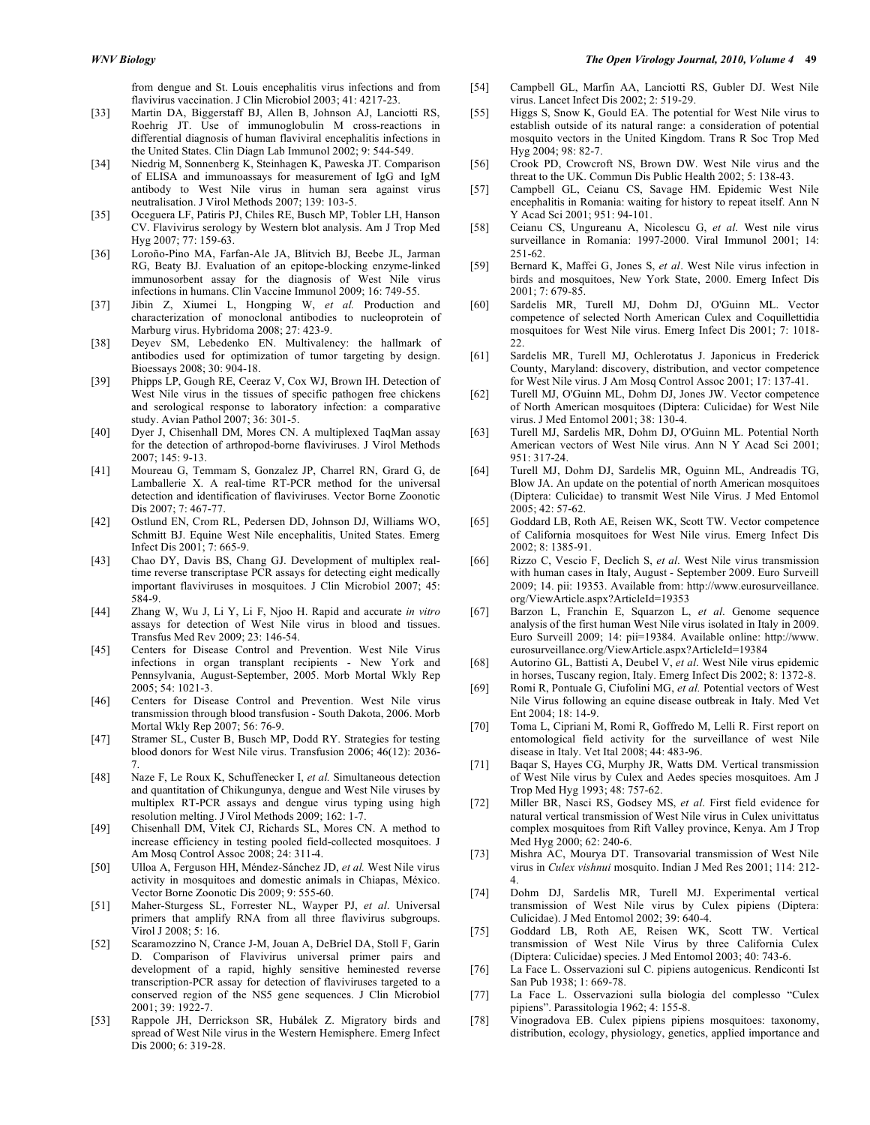from dengue and St. Louis encephalitis virus infections and from flavivirus vaccination. J Clin Microbiol 2003; 41: 4217-23.

- [33] Martin DA, Biggerstaff BJ, Allen B, Johnson AJ, Lanciotti RS, Roehrig JT. Use of immunoglobulin M cross-reactions in differential diagnosis of human flaviviral encephalitis infections in the United States. Clin Diagn Lab Immunol 2002; 9: 544-549.
- [34] Niedrig M, Sonnenberg K, Steinhagen K, Paweska JT. Comparison of ELISA and immunoassays for measurement of IgG and IgM antibody to West Nile virus in human sera against virus neutralisation. J Virol Methods 2007; 139: 103-5.
- [35] Oceguera LF, Patiris PJ, Chiles RE, Busch MP, Tobler LH, Hanson CV. Flavivirus serology by Western blot analysis. Am J Trop Med Hyg 2007; 77: 159-63.
- [36] Loroño-Pino MA, Farfan-Ale JA, Blitvich BJ, Beebe JL, Jarman RG, Beaty BJ. Evaluation of an epitope-blocking enzyme-linked immunosorbent assay for the diagnosis of West Nile virus infections in humans. Clin Vaccine Immunol 2009; 16: 749-55.
- [37] Jibin Z, Xiumei L, Hongping W, *et al.* Production and characterization of monoclonal antibodies to nucleoprotein of Marburg virus. Hybridoma 2008; 27: 423-9.
- [38] Deyev SM, Lebedenko EN. Multivalency: the hallmark of antibodies used for optimization of tumor targeting by design. Bioessays 2008; 30: 904-18.
- [39] Phipps LP, Gough RE, Ceeraz V, Cox WJ, Brown IH. Detection of West Nile virus in the tissues of specific pathogen free chickens and serological response to laboratory infection: a comparative study. Avian Pathol 2007; 36: 301-5.
- [40] Dyer J, Chisenhall DM, Mores CN. A multiplexed TaqMan assay for the detection of arthropod-borne flaviviruses. J Virol Methods 2007; 145: 9-13.
- [41] Moureau G, Temmam S, Gonzalez JP, Charrel RN, Grard G, de Lamballerie X. A real-time RT-PCR method for the universal detection and identification of flaviviruses. Vector Borne Zoonotic Dis 2007; 7: 467-77.
- [42] Ostlund EN, Crom RL, Pedersen DD, Johnson DJ, Williams WO, Schmitt BJ. Equine West Nile encephalitis, United States. Emerg Infect Dis 2001; 7: 665-9.
- [43] Chao DY, Davis BS, Chang GJ. Development of multiplex realtime reverse transcriptase PCR assays for detecting eight medically important flaviviruses in mosquitoes. J Clin Microbiol 2007; 45: 584-9.
- [44] Zhang W, Wu J, Li Y, Li F, Njoo H. Rapid and accurate *in vitro* assays for detection of West Nile virus in blood and tissues. Transfus Med Rev 2009; 23: 146-54.
- [45] Centers for Disease Control and Prevention. West Nile Virus infections in organ transplant recipients - New York and Pennsylvania, August-September, 2005. Morb Mortal Wkly Rep 2005; 54: 1021-3.
- [46] Centers for Disease Control and Prevention. West Nile virus transmission through blood transfusion - South Dakota, 2006. Morb Mortal Wkly Rep 2007; 56: 76-9.
- [47] Stramer SL, Custer B, Busch MP, Dodd RY. Strategies for testing blood donors for West Nile virus. Transfusion 2006; 46(12): 2036- 7.
- [48] Naze F, Le Roux K, Schuffenecker I, *et al.* Simultaneous detection and quantitation of Chikungunya, dengue and West Nile viruses by multiplex RT-PCR assays and dengue virus typing using high resolution melting. J Virol Methods 2009; 162: 1-7.
- [49] Chisenhall DM, Vitek CJ, Richards SL, Mores CN. A method to increase efficiency in testing pooled field-collected mosquitoes. J Am Mosq Control Assoc 2008; 24: 311-4.
- [50] Ulloa A, Ferguson HH, Méndez-Sánchez JD, *et al.* West Nile virus activity in mosquitoes and domestic animals in Chiapas, México. Vector Borne Zoonotic Dis 2009; 9: 555-60.
- [51] Maher-Sturgess SL, Forrester NL, Wayper PJ, *et al*. Universal primers that amplify RNA from all three flavivirus subgroups. Virol J 2008; 5: 16.
- [52] Scaramozzino N, Crance J-M, Jouan A, DeBriel DA, Stoll F, Garin D. Comparison of Flavivirus universal primer pairs and development of a rapid, highly sensitive heminested reverse transcription-PCR assay for detection of flaviviruses targeted to a conserved region of the NS5 gene sequences. J Clin Microbiol 2001; 39: 1922-7.
- [53] Rappole JH, Derrickson SR, Hubálek Z. Migratory birds and spread of West Nile virus in the Western Hemisphere. Emerg Infect Dis 2000; 6: 319-28.

#### *WNV Biology The Open Virology Journal, 2010, Volume 4* **49**

- [54] Campbell GL, Marfin AA, Lanciotti RS, Gubler DJ. West Nile virus. Lancet Infect Dis 2002; 2: 519-29.
- [55] Higgs S, Snow K, Gould EA. The potential for West Nile virus to establish outside of its natural range: a consideration of potential mosquito vectors in the United Kingdom. Trans R Soc Trop Med Hyg 2004; 98: 82-7.
- [56] Crook PD, Crowcroft NS, Brown DW. West Nile virus and the threat to the UK. Commun Dis Public Health 2002; 5: 138-43.
- [57] Campbell GL, Ceianu CS, Savage HM. Epidemic West Nile encephalitis in Romania: waiting for history to repeat itself. Ann N Y Acad Sci 2001; 951: 94-101.
- [58] Ceianu CS, Ungureanu A, Nicolescu G, *et al*. West nile virus surveillance in Romania: 1997-2000. Viral Immunol 2001; 14: 251-62.
- [59] Bernard K, Maffei G, Jones S, *et al*. West Nile virus infection in birds and mosquitoes, New York State, 2000. Emerg Infect Dis 2001; 7: 679-85.
- [60] Sardelis MR, Turell MJ, Dohm DJ, O'Guinn ML. Vector competence of selected North American Culex and Coquillettidia mosquitoes for West Nile virus. Emerg Infect Dis 2001; 7: 1018-  $22.2$
- [61] Sardelis MR, Turell MJ, Ochlerotatus J. Japonicus in Frederick County, Maryland: discovery, distribution, and vector competence for West Nile virus. J Am Mosq Control Assoc 2001; 17: 137-41.
- [62] Turell MJ, O'Guinn ML, Dohm DJ, Jones JW. Vector competence of North American mosquitoes (Diptera: Culicidae) for West Nile virus. J Med Entomol 2001; 38: 130-4.
- [63] Turell MJ, Sardelis MR, Dohm DJ, O'Guinn ML. Potential North American vectors of West Nile virus. Ann N Y Acad Sci 2001; 951: 317-24.
- [64] Turell MJ, Dohm DJ, Sardelis MR, Oguinn ML, Andreadis TG, Blow JA. An update on the potential of north American mosquitoes (Diptera: Culicidae) to transmit West Nile Virus. J Med Entomol 2005; 42: 57-62.
- [65] Goddard LB, Roth AE, Reisen WK, Scott TW. Vector competence of California mosquitoes for West Nile virus. Emerg Infect Dis 2002; 8: 1385-91.
- [66] Rizzo C, Vescio F, Declich S, *et al*. West Nile virus transmission with human cases in Italy, August - September 2009. Euro Surveill 2009; 14. pii: 19353. Available from: http://www.eurosurveillance. org/ViewArticle.aspx?ArticleId=19353
- [67] Barzon L, Franchin E, Squarzon L, *et al*. Genome sequence analysis of the first human West Nile virus isolated in Italy in 2009. Euro Surveill 2009; 14: pii=19384. Available online: http://www. eurosurveillance.org/ViewArticle.aspx?ArticleId=19384
- [68] Autorino GL, Battisti A, Deubel V, *et al*. West Nile virus epidemic in horses, Tuscany region, Italy. Emerg Infect Dis 2002; 8: 1372-8.
- [69] Romi R, Pontuale G, Ciufolini MG, *et al.* Potential vectors of West Nile Virus following an equine disease outbreak in Italy. Med Vet Ent 2004; 18: 14-9.
- [70] Toma L, Cipriani M, Romi R, Goffredo M, Lelli R. First report on entomological field activity for the surveillance of west Nile disease in Italy. Vet Ital 2008; 44: 483-96.
- [71] Baqar S, Hayes CG, Murphy JR, Watts DM. Vertical transmission of West Nile virus by Culex and Aedes species mosquitoes. Am J Trop Med Hyg 1993; 48: 757-62.
- [72] Miller BR, Nasci RS, Godsey MS, *et al*. First field evidence for natural vertical transmission of West Nile virus in Culex univittatus complex mosquitoes from Rift Valley province, Kenya. Am J Trop Med Hyg 2000; 62: 240-6.
- [73] Mishra AC, Mourya DT. Transovarial transmission of West Nile virus in *Culex vishnui* mosquito. Indian J Med Res 2001; 114: 212- 4.
- [74] Dohm DJ, Sardelis MR, Turell MJ. Experimental vertical transmission of West Nile virus by Culex pipiens (Diptera: Culicidae). J Med Entomol 2002; 39: 640-4.
- [75] Goddard LB, Roth AE, Reisen WK, Scott TW. Vertical transmission of West Nile Virus by three California Culex (Diptera: Culicidae) species. J Med Entomol 2003; 40: 743-6.
- [76] La Face L. Osservazioni sul C. pipiens autogenicus. Rendiconti Ist San Pub 1938; 1: 669-78.
- [77] La Face L. Osservazioni sulla biologia del complesso "Culex pipiens". Parassitologia 1962; 4: 155-8.
- [78] Vinogradova EB. Culex pipiens pipiens mosquitoes: taxonomy, distribution, ecology, physiology, genetics, applied importance and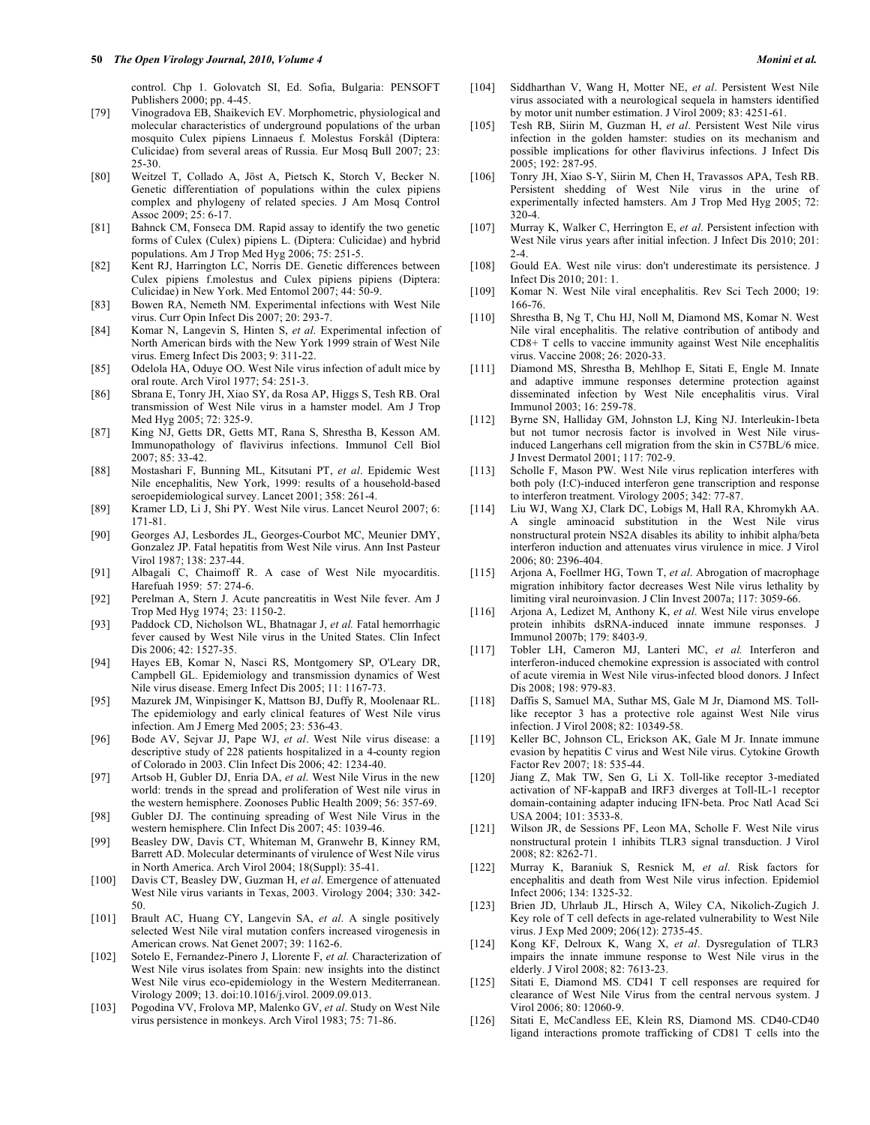control. Chp 1. Golovatch SI, Ed. Sofia, Bulgaria: PENSOFT Publishers 2000; pp. 4-45.

- [79] Vinogradova EB, Shaikevich EV. Morphometric, physiological and molecular characteristics of underground populations of the urban mosquito Culex pipiens Linnaeus f. Molestus Forskål (Diptera: Culicidae) from several areas of Russia. Eur Mosq Bull 2007; 23: 25-30.
- [80] Weitzel T, Collado A, Jöst A, Pietsch K, Storch V, Becker N. Genetic differentiation of populations within the culex pipiens complex and phylogeny of related species. J Am Mosq Control Assoc 2009; 25: 6-17.
- [81] Bahnck CM, Fonseca DM. Rapid assay to identify the two genetic forms of Culex (Culex) pipiens L. (Diptera: Culicidae) and hybrid populations. Am J Trop Med Hyg 2006; 75: 251-5.
- [82] Kent RJ, Harrington LC, Norris DE. Genetic differences between Culex pipiens f.molestus and Culex pipiens pipiens (Diptera: Culicidae) in New York. Med Entomol 2007; 44: 50-9.
- [83] Bowen RA, Nemeth NM. Experimental infections with West Nile virus. Curr Opin Infect Dis 2007; 20: 293-7.
- [84] Komar N, Langevin S, Hinten S, *et al*. Experimental infection of North American birds with the New York 1999 strain of West Nile virus. Emerg Infect Dis 2003; 9: 311-22.
- [85] Odelola HA, Oduye OO. West Nile virus infection of adult mice by oral route. Arch Virol 1977; 54: 251-3.
- [86] Sbrana E, Tonry JH, Xiao SY, da Rosa AP, Higgs S, Tesh RB. Oral transmission of West Nile virus in a hamster model. Am J Trop Med Hyg 2005; 72: 325-9.
- [87] King NJ, Getts DR, Getts MT, Rana S, Shrestha B, Kesson AM. Immunopathology of flavivirus infections. Immunol Cell Biol 2007; 85: 33-42.
- [88] Mostashari F, Bunning ML, Kitsutani PT, *et al*. Epidemic West Nile encephalitis, New York, 1999: results of a household-based seroepidemiological survey. Lancet 2001; 358: 261-4.
- [89] Kramer LD, Li J, Shi PY. West Nile virus. Lancet Neurol 2007; 6: 171-81.
- [90] Georges AJ, Lesbordes JL, Georges-Courbot MC, Meunier DMY, Gonzalez JP. Fatal hepatitis from West Nile virus. Ann Inst Pasteur Virol 1987; 138: 237-44.
- [91] Albagali C, Chaimoff R. A case of West Nile myocarditis. Harefuah 1959; 57: 274-6.
- [92] Perelman A, Stern J. Acute pancreatitis in West Nile fever. Am J Trop Med Hyg 1974; 23: 1150-2.
- [93] Paddock CD, Nicholson WL, Bhatnagar J, *et al.* Fatal hemorrhagic fever caused by West Nile virus in the United States. Clin Infect Dis 2006; 42: 1527-35.
- [94] Hayes EB, Komar N, Nasci RS, Montgomery SP, O'Leary DR, Campbell GL. Epidemiology and transmission dynamics of West Nile virus disease. Emerg Infect Dis 2005; 11: 1167-73.
- [95] Mazurek JM, Winpisinger K, Mattson BJ, Duffy R, Moolenaar RL. The epidemiology and early clinical features of West Nile virus infection. Am J Emerg Med 2005; 23: 536-43.
- [96] Bode AV, Sejvar JJ, Pape WJ, *et al*. West Nile virus disease: a descriptive study of 228 patients hospitalized in a 4-county region of Colorado in 2003. Clin Infect Dis 2006; 42: 1234-40.
- [97] Artsob H, Gubler DJ, Enria DA, *et al*. West Nile Virus in the new world: trends in the spread and proliferation of West nile virus in the western hemisphere. Zoonoses Public Health 2009; 56: 357-69.
- [98] Gubler DJ. The continuing spreading of West Nile Virus in the western hemisphere. Clin Infect Dis 2007; 45: 1039-46.
- [99] Beasley DW, Davis CT, Whiteman M, Granwehr B, Kinney RM, Barrett AD. Molecular determinants of virulence of West Nile virus in North America. Arch Virol 2004; 18(Suppl): 35-41.
- [100] Davis CT, Beasley DW, Guzman H, *et al*. Emergence of attenuated West Nile virus variants in Texas, 2003. Virology 2004; 330: 342- 50.
- [101] Brault AC, Huang CY, Langevin SA, *et al*. A single positively selected West Nile viral mutation confers increased virogenesis in American crows. Nat Genet 2007; 39: 1162-6.
- [102] Sotelo E, Fernandez-Pinero J, Llorente F, *et al.* Characterization of West Nile virus isolates from Spain: new insights into the distinct West Nile virus eco-epidemiology in the Western Mediterranean. Virology 2009; 13. doi:10.1016/j.virol. 2009.09.013.
- [103] Pogodina VV, Frolova MP, Malenko GV, *et al*. Study on West Nile virus persistence in monkeys. Arch Virol 1983; 75: 71-86.
- [104] Siddharthan V, Wang H, Motter NE, *et al*. Persistent West Nile virus associated with a neurological sequela in hamsters identified by motor unit number estimation. J Virol 2009; 83: 4251-61.
- [105] Tesh RB, Siirin M, Guzman H, *et al*. Persistent West Nile virus infection in the golden hamster: studies on its mechanism and possible implications for other flavivirus infections. J Infect Dis 2005; 192: 287-95.
- [106] Tonry JH, Xiao S-Y, Siirin M, Chen H, Travassos APA, Tesh RB. Persistent shedding of West Nile virus in the urine of experimentally infected hamsters. Am J Trop Med Hyg 2005; 72: 320-4.
- [107] Murray K, Walker C, Herrington E, *et al*. Persistent infection with West Nile virus years after initial infection. J Infect Dis 2010; 201: 2-4.
- [108] Gould EA. West nile virus: don't underestimate its persistence. J Infect Dis 2010; 201: 1.
- [109] Komar N. West Nile viral encephalitis. Rev Sci Tech 2000; 19: 166-76.
- [110] Shrestha B, Ng T, Chu HJ, Noll M, Diamond MS, Komar N. West Nile viral encephalitis. The relative contribution of antibody and CD8+ T cells to vaccine immunity against West Nile encephalitis virus. Vaccine 2008; 26: 2020-33.
- [111] Diamond MS, Shrestha B, Mehlhop E, Sitati E, Engle M. Innate and adaptive immune responses determine protection against disseminated infection by West Nile encephalitis virus. Viral Immunol 2003; 16: 259-78.
- [112] Byrne SN, Halliday GM, Johnston LJ, King NJ. Interleukin-1beta but not tumor necrosis factor is involved in West Nile virusinduced Langerhans cell migration from the skin in C57BL/6 mice. J Invest Dermatol 2001; 117: 702-9.
- [113] Scholle F, Mason PW. West Nile virus replication interferes with both poly (I:C)-induced interferon gene transcription and response to interferon treatment. Virology 2005; 342: 77-87.
- [114] Liu WJ, Wang XJ, Clark DC, Lobigs M, Hall RA, Khromykh AA. A single aminoacid substitution in the West Nile virus nonstructural protein NS2A disables its ability to inhibit alpha/beta interferon induction and attenuates virus virulence in mice. J Virol 2006; 80: 2396-404.
- [115] Arjona A, Foellmer HG, Town T, *et al*. Abrogation of macrophage migration inhibitory factor decreases West Nile virus lethality by limiting viral neuroinvasion. J Clin Invest 2007a; 117: 3059-66.
- [116] Arjona A, Ledizet M, Anthony K, *et al*. West Nile virus envelope protein inhibits dsRNA-induced innate immune responses. J Immunol 2007b; 179: 8403-9.
- [117] Tobler LH, Cameron MJ, Lanteri MC, *et al.* Interferon and interferon-induced chemokine expression is associated with control of acute viremia in West Nile virus-infected blood donors. J Infect Dis 2008; 198: 979-83.
- [118] Daffis S, Samuel MA, Suthar MS, Gale M Jr, Diamond MS. Tolllike receptor 3 has a protective role against West Nile virus infection. J Virol 2008; 82: 10349-58.
- [119] Keller BC, Johnson CL, Erickson AK, Gale M Jr. Innate immune evasion by hepatitis C virus and West Nile virus. Cytokine Growth Factor Rev 2007; 18: 535-44.
- [120] Jiang Z, Mak TW, Sen G, Li X. Toll-like receptor 3-mediated activation of NF-kappaB and IRF3 diverges at Toll-IL-1 receptor domain-containing adapter inducing IFN-beta. Proc Natl Acad Sci USA 2004; 101: 3533-8.
- [121] Wilson JR, de Sessions PF, Leon MA, Scholle F. West Nile virus nonstructural protein 1 inhibits TLR3 signal transduction. J Virol 2008; 82: 8262-71.
- [122] Murray K, Baraniuk S, Resnick M, *et al*. Risk factors for encephalitis and death from West Nile virus infection. Epidemiol Infect 2006; 134: 1325-32.
- [123] Brien JD, Uhrlaub JL, Hirsch A, Wiley CA, Nikolich-Zugich J. Key role of T cell defects in age-related vulnerability to West Nile virus. J Exp Med 2009; 206(12): 2735-45.
- [124] Kong KF, Delroux K, Wang X, *et al*. Dysregulation of TLR3 impairs the innate immune response to West Nile virus in the elderly. J Virol 2008; 82: 7613-23.
- [125] Sitati E, Diamond MS. CD41 T cell responses are required for clearance of West Nile Virus from the central nervous system. J Virol 2006; 80: 12060-9.
- [126] Sitati E, McCandless EE, Klein RS, Diamond MS. CD40-CD40 ligand interactions promote trafficking of CD81 T cells into the